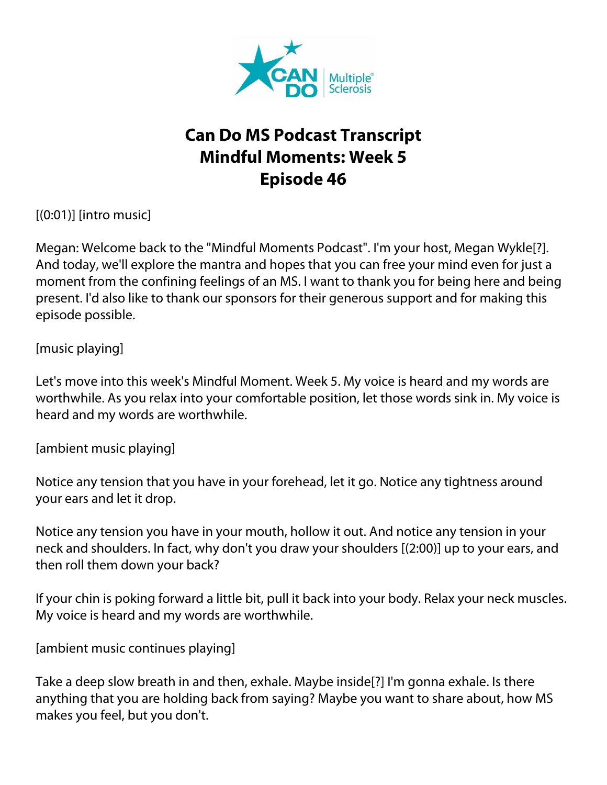

## **Can Do MS Podcast Transcript Mindful Moments: Week 5 Episode 46**

 $[(0:01)]$  [intro music]

Megan: Welcome back to the "Mindful Moments Podcast". I'm your host, Megan Wykle[?]. And today, we'll explore the mantra and hopes that you can free your mind even for just a moment from the confining feelings of an MS. I want to thank you for being here and being present. I'd also like to thank our sponsors for their generous support and for making this episode possible.

[music playing]

Let's move into this week's Mindful Moment. Week 5. My voice is heard and my words are worthwhile. As you relax into your comfortable position, let those words sink in. My voice is heard and my words are worthwhile.

[ambient music playing]

Notice any tension that you have in your forehead, let it go. Notice any tightness around your ears and let it drop.

Notice any tension you have in your mouth, hollow it out. And notice any tension in your neck and shoulders. In fact, why don't you draw your shoulders [(2:00)] up to your ears, and then roll them down your back?

If your chin is poking forward a little bit, pull it back into your body. Relax your neck muscles. My voice is heard and my words are worthwhile.

[ambient music continues playing]

Take a deep slow breath in and then, exhale. Maybe inside[?] I'm gonna exhale. Is there anything that you are holding back from saying? Maybe you want to share about, how MS makes you feel, but you don't.